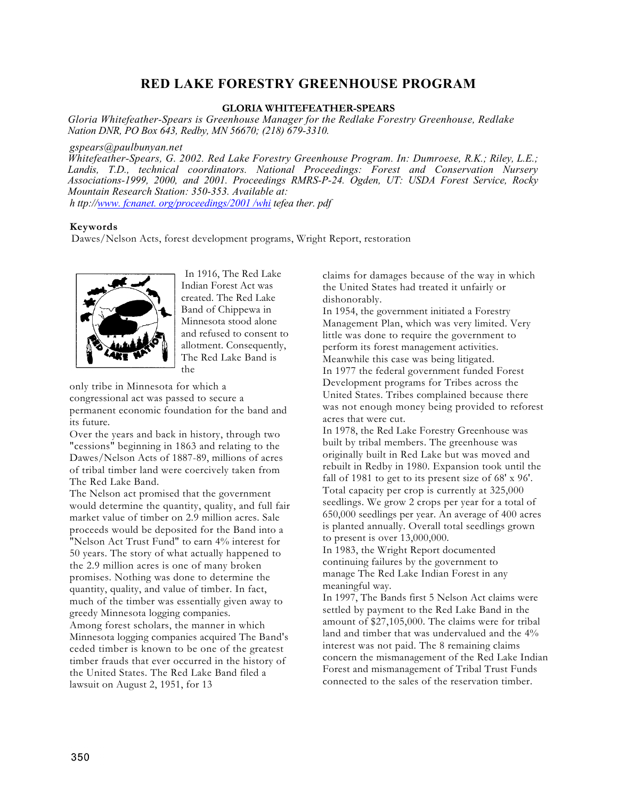## **RED LAKE FORESTRY GREENHOUSE PROGRAM**

## **GLORIA WHITEFEATHER-SPEARS**

*Gloria Whitefeather-Spears is Greenhouse Manager for the Redlake Forestry Greenhouse, Redlake Nation DNR, PO Box 643, Redby, MN 56670; (218) 679-3310.* 

*gspears@paulbunyan.net* 

*Whitefeather-Spears, G. 2002. Red Lake Forestry Greenhouse Program. In: Dumroese, R.K.; Riley, L.E.; Landis, T.D., technical coordinators. National Proceedings: Forest and Conservation Nursery Associations-1999, 2000, and 2001. Proceedings RMRS-P-24. Ogden, UT: USDA Forest Service, Rocky Mountain Research Station: 350-353. Available at: h ttp://[www. fcnanet. org/proceedings/2001 /whi](http://www.fcnanet.org/proceedings/2001/whi) tefea ther. pdf* 

## **Keywords**

Dawes/Nelson Acts, forest development programs, Wright Report, restoration



In 1916, The Red Lake Indian Forest Act was created. The Red Lake Band of Chippewa in Minnesota stood alone and refused to consent to allotment. Consequently, The Red Lake Band is the

only tribe in Minnesota for which a congressional act was passed to secure a permanent economic foundation for the band and its future.

Over the years and back in history, through two "cessions" beginning in 1863 and relating to the Dawes/Nelson Acts of 1887-89, millions of acres of tribal timber land were coercively taken from The Red Lake Band.

The Nelson act promised that the government would determine the quantity, quality, and full fair market value of timber on 2.9 million acres. Sale proceeds would be deposited for the Band into a "Nelson Act Trust Fund" to earn 4% interest for 50 years. The story of what actually happened to the 2.9 million acres is one of many broken promises. Nothing was done to determine the quantity, quality, and value of timber. In fact, much of the timber was essentially given away to greedy Minnesota logging companies. Among forest scholars, the manner in which Minnesota logging companies acquired The Band's ceded timber is known to be one of the greatest timber frauds that ever occurred in the history of the United States. The Red Lake Band filed a lawsuit on August 2, 1951, for 13

claims for damages because of the way in which the United States had treated it unfairly or dishonorably.

In 1954, the government initiated a Forestry Management Plan, which was very limited. Very little was done to require the government to perform its forest management activities. Meanwhile this case was being litigated. In 1977 the federal government funded Forest Development programs for Tribes across the United States. Tribes complained because there was not enough money being provided to reforest acres that were cut.

In 1978, the Red Lake Forestry Greenhouse was built by tribal members. The greenhouse was originally built in Red Lake but was moved and rebuilt in Redby in 1980. Expansion took until the fall of 1981 to get to its present size of 68' x 96'. Total capacity per crop is currently at 325,000 seedlings. We grow 2 crops per year for a total of 650,000 seedlings per year. An average of 400 acres is planted annually. Overall total seedlings grown to present is over 13,000,000.

In 1983, the Wright Report documented continuing failures by the government to manage The Red Lake Indian Forest in any meaningful way.

In 1997, The Bands first 5 Nelson Act claims were settled by payment to the Red Lake Band in the amount of \$27,105,000. The claims were for tribal land and timber that was undervalued and the 4% interest was not paid. The 8 remaining claims concern the mismanagement of the Red Lake Indian Forest and mismanagement of Tribal Trust Funds connected to the sales of the reservation timber.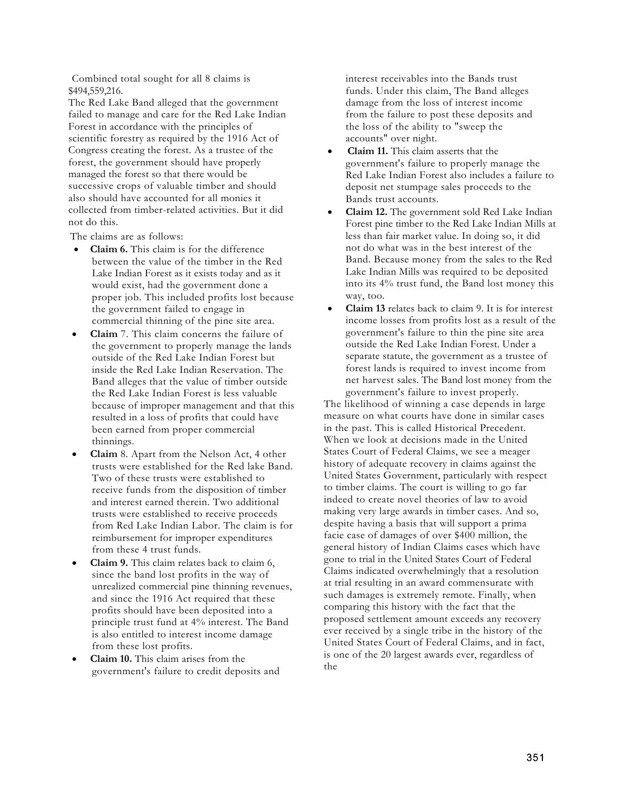Combined total sought for all 8 claims is \$494,559,216.

The Red Lake Band alleged that the government failed to manage and care for the Red Lake Indian Forest in accordance with the principles of scientific forestry as required by the 1916 Act of Congress creating the forest. As a trustee of the forest, the government should have properly managed the forest so that there would be successive crops of valuable timber and should also should have accounted for all monies it collected from timber-related activities. But it did not do this.

The claims are as follows:

- **Claim 6.** This claim is for the difference between the value of the timber in the Red Lake Indian Forest as it exists today and as it would exist, had the government done a proper job. This included profits lost because the government failed to engage in commercial thinning of the pine site area.
- **Claim** 7. This claim concerns the failure of the government to properly manage the lands outside of the Red Lake Indian Forest but inside the Red Lake Indian Reservation. The Band alleges that the value of timber outside the Red Lake Indian Forest is less valuable because of improper management and that this resulted in a loss of profits that could have been earned from proper commercial thinnings.
- **Claim** 8. Apart from the Nelson Act, 4 other trusts were established for the Red lake Band. Two of these trusts were established to receive funds from the disposition of timber and interest earned therein. Two additional trusts were established to receive proceeds from Red Lake Indian Labor. The claim is for reimbursement for improper expenditures from these 4 trust funds.
- **Claim 9.** This claim relates back to claim 6, since the band lost profits in the way of unrealized commercial pine thinning revenues, and since the 1916 Act required that these profits should have been deposited into a principle trust fund at 4% interest. The Band is also entitled to interest income damage from these lost profits.
- **Claim 10.** This claim arises from the government's failure to credit deposits and

interest receivables into the Bands trust funds. Under this claim, The Band alleges damage from the loss of interest income from the failure to post these deposits and the loss of the ability to "sweep the accounts" over night.

- **Claim 11.** This claim asserts that the government's failure to properly manage the Red Lake Indian Forest also includes a failure to deposit net stumpage sales proceeds to the Bands trust accounts.
- **Claim 12.** The government sold Red Lake Indian Forest pine timber to the Red Lake Indian Mills at less than fair market value. In doing so, it did not do what was in the best interest of the Band. Because money from the sales to the Red Lake Indian Mills was required to be deposited into its 4% trust fund, the Band lost money this way, too.
- **Claim 13** relates back to claim 9. It is for interest income losses from profits lost as a result of the government's failure to thin the pine site area outside the Red Lake Indian Forest. Under a separate statute, the government as a trustee of forest lands is required to invest income from net harvest sales. The Band lost money from the government's failure to invest properly.

The likelihood of winning a case depends in large measure on what courts have done in similar cases in the past. This is called Historical Precedent. When we look at decisions made in the United States Court of Federal Claims, we see a meager history of adequate recovery in claims against the United States Government, particularly with respect to timber claims. The court is willing to go far indeed to create novel theories of law to avoid making very large awards in timber cases. And so, despite having a basis that will support a prima facie case of damages of over \$400 million, the general history of Indian Claims cases which have gone to trial in the United States Court of Federal Claims indicated overwhelmingly that a resolution at trial resulting in an award commensurate with such damages is extremely remote. Finally, when comparing this history with the fact that the proposed settlement amount exceeds any recovery ever received by a single tribe in the history of the United States Court of Federal Claims, and in fact, is one of the 20 largest awards ever, regardless of the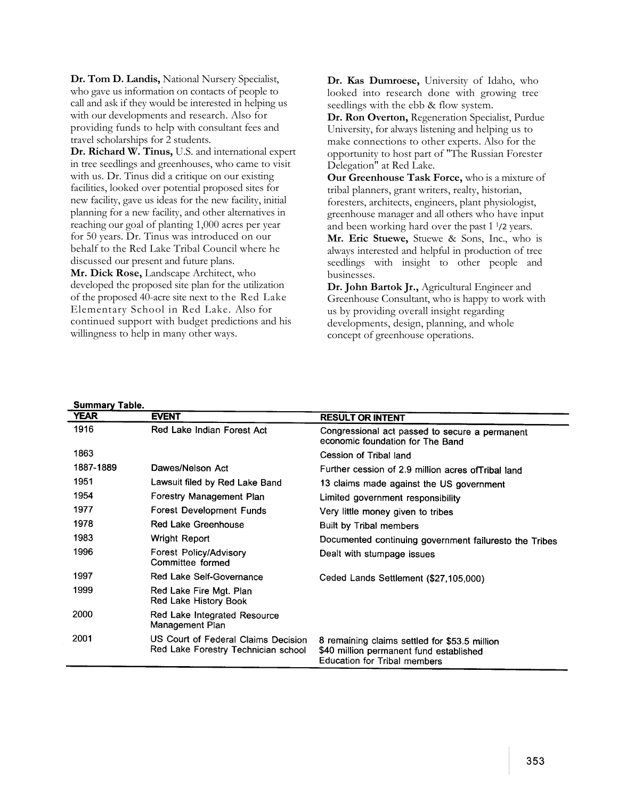**Dr. Tom D. Landis,** National Nursery Specialist, who gave us information on contacts of people to call and ask if they would be interested in helping us with our developments and research. Also for providing funds to help with consultant fees and travel scholarships for 2 students.

**Dr. Richard W. Tinus,** U.S. and international expert in tree seedlings and greenhouses, who came to visit with us. Dr. Tinus did a critique on our existing facilities, looked over potential proposed sites for new facility, gave us ideas for the new facility, initial planning for a new facility, and other alternatives in reaching our goal of planting 1,000 acres per year for 50 years. Dr. Tinus was introduced on our behalf to the Red Lake Tribal Council where he discussed our present and future plans.

**Mr. Dick Rose,** Landscape Architect, who developed the proposed site plan for the utilization of the proposed 40-acre site next to the Red Lake Elementary School in Red Lake. Also for continued support with budget predictions and his willingness to help in many other ways.

**Dr. Kas Dumroese,** University of Idaho, who looked into research done with growing tree seedlings with the ebb & flow system.

**Dr. Ron Overton,** Regeneration Specialist, Purdue University, for always listening and helping us to make connections to other experts. Also for the opportunity to host part of "The Russian Forester Delegation" at Red Lake.

**Our Greenhouse Task Force,** who is a mixture of tribal planners, grant writers, realty, historian, foresters, architects, engineers, plant physiologist, greenhouse manager and all others who have input and been working hard over the past 1 <sup>1</sup>/2 years.

**Mr. Eric Stuewe,** Stuewe & Sons, Inc., who is always interested and helpful in production of tree seedlings with insight to other people and businesses.

**Dr. John Bartok Jr.,** Agricultural Engineer and Greenhouse Consultant, who is happy to work with us by providing overall insight regarding developments, design, planning, and whole concept of greenhouse operations.

| <b>Summary Table.</b> |                                                                            |                                                                                                                                 |
|-----------------------|----------------------------------------------------------------------------|---------------------------------------------------------------------------------------------------------------------------------|
| YEAR                  | <b>EVENT</b>                                                               | <b>RESULT OR INTENT</b>                                                                                                         |
| 1916                  | Red Lake Indian Forest Act                                                 | Congressional act passed to secure a permanent<br>economic foundation for The Band                                              |
| 1863                  |                                                                            | Cession of Tribal land                                                                                                          |
| 1887-1889             | Dawes/Nelson Act                                                           | Further cession of 2.9 million acres of Tribal land                                                                             |
| 1951                  | Lawsuit filed by Red Lake Band                                             | 13 claims made against the US government                                                                                        |
| 1954                  | Forestry Management Plan                                                   | Limited government responsibility                                                                                               |
| 1977                  | Forest Development Funds                                                   | Very little money given to tribes                                                                                               |
| 1978                  | Red Lake Greenhouse                                                        | Built by Tribal members                                                                                                         |
| 1983                  | Wright Report                                                              | Documented continuing government failuresto the Tribes                                                                          |
| 1996                  | <b>Forest Policy/Advisory</b><br>Committee formed                          | Dealt with stumpage issues                                                                                                      |
| 1997                  | Red Lake Self-Governance                                                   | Ceded Lands Settlement (\$27,105,000)                                                                                           |
| 1999                  | Red Lake Fire Mgt. Plan<br>Red Lake History Book                           |                                                                                                                                 |
| 2000                  | Red Lake Integrated Resource<br>Management Plan                            |                                                                                                                                 |
| 2001                  | US Court of Federal Claims Decision<br>Red Lake Forestry Technician school | 8 remaining claims settled for \$53.5 million<br>\$40 million permanent fund established<br><b>Education for Tribal members</b> |